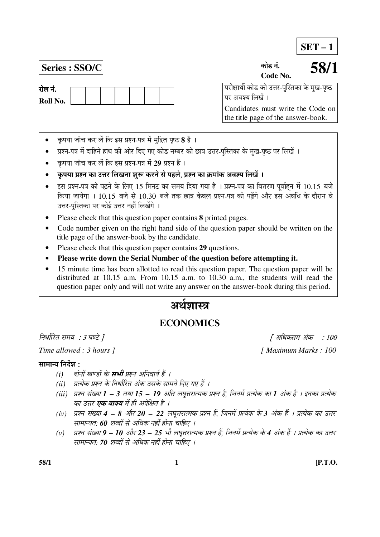**SET – 1**

**Series : SSO/C** úÖê›ü −ÖÓ.

**Code No. 58/1**

 ¯Ö¸üßÖÖ£Öá úÖê›ü úÖê ˆ¢Ö¸ü-¯ÖãÛßÖúÖ êú ´Öã Ö-¯Öéšü पर अवश्य लिखें ।

Candidates must write the Code on the title page of the answer-book.

- कृपया जाँच कर लें कि इस प्रश्न-पत्र में मुद्रित पृष्ठ **8** हैं ।
- प्रश्न-पत्र में दाहिने हाथ की ओर दिए गए कोड नम्बर को छात्र उत्तर-पुस्तिका के मुख-पृष्ठ पर लिखें ।
- कपया जाँच कर लें कि इस प्रश्न-पत्र में 29 प्रश्न हैं ।
- कृपया प्रश्न का उत्तर लिखना शुरू करने से पहले, प्रश्न का क्रमांक अवश्य लिखें ।
- इस प्रश्न-पत्र को पढ़ने के लिए 15 मिनट का समय दिया गया है । प्रश्न-पत्र का वितरण पूर्वाहन में 10.15 बजे किया जायेगा । 10.15 बजे से 10.30 बजे तक छात्र केवल प्रश्न-पत्र को पढ़ेंगे और इस अवधि के दौरान वे उत्तर-पुस्तिका पर कोई उत्तर नहीं लिखेंगे ।
- Please check that this question paper contains **8** printed pages.
- Code number given on the right hand side of the question paper should be written on the title page of the answer-book by the candidate.
- Please check that this question paper contains **29** questions.
- **Please write down the Serial Number of the question before attempting it.**
- 15 minute time has been allotted to read this question paper. The question paper will be distributed at 10.15 a.m. From 10.15 a.m. to 10.30 a.m., the students will read the question paper only and will not write any answer on the answer-book during this period.

# अर्थेशास्त्र

# **ECONOMICS**

*Time allowed : 3 hours ]* [ *Maximum Marks : 100* 

# सामान्य निर्देश $\,$  :

- (i) दोनों खण्डों के **सभी** प्रश्न अनिवार्य हैं ।
- *(ii) प्रत्येक प्रश्न के निर्धारित अंक उसके सामने दिए गए हैं ।*
- *(iii) प्रश्न संख्या 1 3 तथा 15 19 अति लघूत्तरात्मक प्रश्न है, जिनमें प्रत्येक का 1 अंक है । इनका प्रत्येक* का उत्तर **एक वाक्य** में ही अपेक्षित है ।
- *(iv) प्रश्न संख्या 4 8 और 20 22 लघूत्तरात्मक प्रश्न हैं, जिनमें प्रत्येक के 3 अंक हैं । प्रत्येक का उत्तर* सामान्यत: 60 शब्दों से अधिक नहीं होना चाहिए ।
- (v) प्रश्न संख्या 9 10 और 23 25 भी लघुत्तरात्मक प्रश्न हैं, जिनमें प्रत्येक के 4 अंक हैं । प्रत्येक का उत्तर <u>सामान्यतः</u> 70 शब्दों से अधिक नहीं होना चाहिए ।

**58/1 1 [P.T.O.**

निर्धारित समय : 3 घण्टे ]  $\int$  अधिकतम अंक $\int$ : 100

रोल नं. **Roll No.**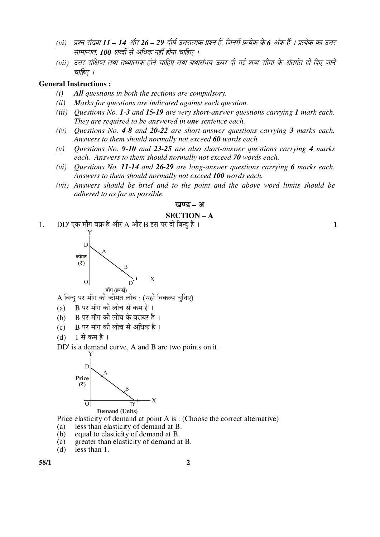- (vi) प्रश्न संख्या 11 14 और 26 29 दीर्घ उत्तरात्मक प्रश्न हैं, जिनमें प्रत्येक के 6 अंक हैं । प्रत्येक का उत्तर सामान्यत: **100** शब्दों से अधिक नहीं होना चाहिए ।
- (vii) उत्तर संक्षिप्त तथा तथ्यात्मक होने चाहिए तथा यथासंभव ऊपर दी गई शब्द सीमा के अंतर्गत ही दिए जाने चाहिए ।

## **General Instructions :**

- *(i) All questions in both the sections are compulsory.*
- *(ii) Marks for questions are indicated against each question.*
- *(iii) Questions No. 1-3 and 15-19 are very short-answer questions carrying 1 mark each. They are required to be answered in one sentence each.*
- *(iv) Questions No. 4-8 and 20-22 are short-answer questions carrying 3 marks each. Answers to them should normally not exceed 60 words each.*
- *(v) Questions No. 9-10 and 23-25 are also short-answer questions carrying 4 marks each. Answers to them should normally not exceed 70 words each.*
- *(vi) Questions No. 11-14 and 26-29 are long-answer questions carrying 6 marks each. Answers to them should normally not exceed 100 words each.*
- *(vii) Answers should be brief and to the point and the above word limits should be adhered to as far as possible.*

#### खण्ड – अ

## **SECTION – A**

1.  $DD'$ एक माँग वक्र है और A और B इस पर दो बिन्द हैं ।

Y X B A D  $O$  D' कीमत  $($ ₹ $)$ माँग (इकाई

 $\bf A$  बिन्दु पर माँग की कीमत लोच : (सही विकल्प चुनिए)

- (a)  $\,$  B पर माँग की लोच से कम है ।
- (b) B पर माँग की लोच के बराबर है।
- (c)  $\,$  B पर माँग की लोच से अधिक है ।

$$
(d) \quad 1 \nleftrightarrow \pi \nleftrightarrow \pi
$$

DD' is a demand curve, A and B are two points on it.



**Demand (Units)** 

Price elasticity of demand at point A is : (Choose the correct alternative)

- (a) less than elasticity of demand at B.
- (b) equal to elasticity of demand at B.
- (c) greater than elasticity of demand at B.<br>(d) less than 1.
- less than 1.

**58/1 2**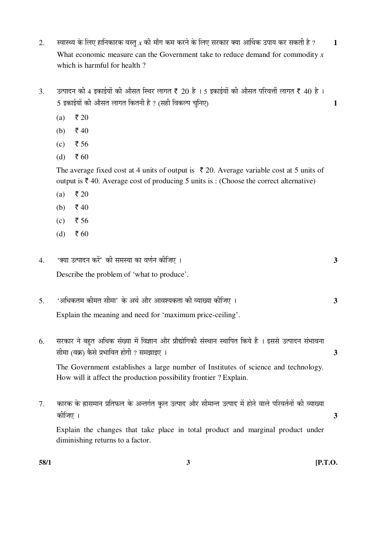- $2.$   $\,$  स्वास्थ्य के लिए हानिकारक वस्त $\,$ x की माँग कम करने के लिए सरकार क्या आर्थिक उपाय कर सकती है ?  $\,$   $\,$   $\,$   $\,$   $\,$   $\,$   $\,$  What economic measure can the Government take to reduce demand for commodity *x* which is harmful for health ?
- 3.  $\,$ उत्पादन की 4 इकाईयों की औसत स्थिर लागत ₹ 20 है । 5 इकाईयों की औसत परिवर्त्ती लागत ₹ 40 है । 5 ‡ÛúÖ‡ÔµÖÖë Ûúß †ÖîÃÖŸÖ »ÖÖÝÖŸÖ ×ÛúŸÖ®Öß Æîü ? (ÃÖÆüß ×¾ÖÛú»¯Ö "Öã×®Ö‹) **1**
	- (a) ₹ 20
	- (b)  $\bar{z}$  40
	- (c) ₹ 56
	- $(d)$  ₹ 60

The average fixed cost at 4 units of output is  $\bar{\tau}$  20. Average variable cost at 5 units of output is  $\bar{\tau}$  40. Average cost of producing 5 units is : (Choose the correct alternative)

- (a) ₹ 20
- (b)  $\bar{z}$  40
- (c) ₹ 56
- (d) ₹ 60
- 4. 'ŒµÖÖ ˆŸ¯ÖÖ¤ü®Ö Ûú¸ëü' Ûúß ÃÖ´ÖõÖÖ ÛúÖ ¾ÖÞÖÔ®Ö Ûúßו֋ … **3**  Describe the problem of 'what to produce'.
- 5. '†×¬ÖÛúŸÖ´Ö Ûúß´ÖŸÖ ÃÖß´ÖÖ' Ûêú †£ÖÔ †Öî¸ü †Ö¾Ö¿µÖÛúŸÖÖ Ûúß ¾µÖÖܵÖÖ Ûúßו֋ … **3**  Explain the meaning and need for 'maximum price-ceiling'.
- 6. सरकार ने बहुत अधिक संख्या में विज्ञान और प्रौद्योगिकी संस्थान स्थापित किये हैं । इससे उत्पादन संभावना  $\frac{1}{10}$ सीमा (वक्र) कैसे प्रभावित होगी ? समझाइए ।

 The Government establishes a large number of Institutes of science and technology. How will it affect the production possibility frontier ? Explain.

7. कारक के ह्रासमान प्रतिफल के अन्तर्गत कुल उत्पाद और सीमान्त उत्पाद में होने वाले परिवर्तनों की व्याख्या Ûúßו֋ … **3**  Explain the changes that take place in total product and marginal product under diminishing returns to a factor.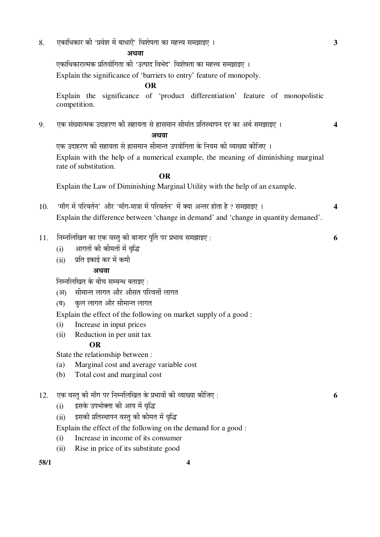8. ‹ÛúÖ׬ÖÛúÖ¸ü Ûúß '¯ÖϾÖê¿Ö ´Öë ²ÖÖ¬ÖÖ‹Ñ' ×¾Ö¿ÖêÂÖŸÖÖ ÛúÖ ´ÖÆü¢¾Ö ÃÖ´Ö—ÖÖ‡‹ … **3**

# †£Ö¾ÖÖ

एकाधिकारात्मक प्रतियोगिता की 'उत्पाद विभेद' विशेषता का महत्त्व समझाइए । Explain the significance of 'barriers to entry' feature of monopoly.

# **OR**

 Explain the significance of 'product differentiation' feature of monopolistic competition.

9. ‹Ûú ÃÖÓܵÖÖŸ´ÖÛú ˆ¤üÖÆü¸üÞÖ Ûúß ÃÖÆüÖµÖŸÖÖ ÃÖê ÈüÖÃÖ´ÖÖ®Ö ÃÖß´ÖÖÓŸÖ ¯ÖÏןÖãÖÖ¯Ö®Ö ¤ü¸ü ÛúÖ †£ÖÔ ÃÖ´Ö—ÖÖ‡‹ … **4** 

# हिँदी साहित्य अधिकारिक स्थिति । अधिकारिक स्थिति । अधिकारिक स्थिति । अधिकारिक स्थिति । अधिकारिक स्थिति । अधिकार<br>सन्दर्भ साहित्य अधिकारिक स्थिति । अधिकारिक स्थिति । अधिकारिक स्थिति । अधिकारिक स्थिति । अधिकारिक स्थिति । अधि

एक उदाहरण की सहायता से ह्रासमान सीमान्त उपयोगिता के नियम की व्याख्या कीजिए । Explain with the help of a numerical example, the meaning of diminishing marginal rate of substitution.

#### **OR** OR

Explain the Law of Diminishing Marginal Utility with the help of an example.

- 10. 'माँग में परिवर्तन' और 'माँग-मात्रा में परिवर्तन' में क्या अन्तर होता है ? समझाइए । 4 Explain the difference between 'change in demand' and 'change in quantity demaned'.
- 11. ×®Ö´®Ö×»Ö×ÜÖŸÖ ÛúÖ ‹Ûú ¾ÖßÖã Ûúß ²ÖÖ•ÖÖ¸ü ¯ÖæÙŸÖ ¯Ö¸ü ¯ÖϳÖÖ¾Ö ÃÖ´Ö—ÖÖ‡‹ : **6**
	- (i) आगतों की कीमतों में वृद्धि
	- (ii) प्रति इकाई कर में कमी

## अथवा

निम्नलिखित के बीच सम्बन्ध बताइए $\,$  :

- (आ) सीमान्त लागत और औसत परिवर्त्ती लागत
- (ब) कुल लागत और सीमान्त लागत

Explain the effect of the following on market supply of a good :

- (i) Increase in input prices
- (ii) Reduction in per unit tax

#### **OR**

State the relationship between :

- (a) Marginal cost and average variable cost
- (b) Total cost and marginal cost

# 12. ‹Ûú ¾ÖßÖã Ûúß ´ÖÖÑÝÖ ¯Ö¸ü ×®Ö´®Ö×»Ö×ÜÖŸÖ Ûêú ¯ÖϳÖÖ¾ÖÖë Ûúß ¾µÖÖܵÖÖ Ûúßו֋ : **6**

- (i) इसके उपभोक्ता की आय में वृद्धि
- (ii) दसकी प्रतिस्थापन वस्तु की कीमत में वृद्धि

Explain the effect of the following on the demand for a good :

- (i) Increase in income of its consumer
- (ii) Rise in price of its substitute good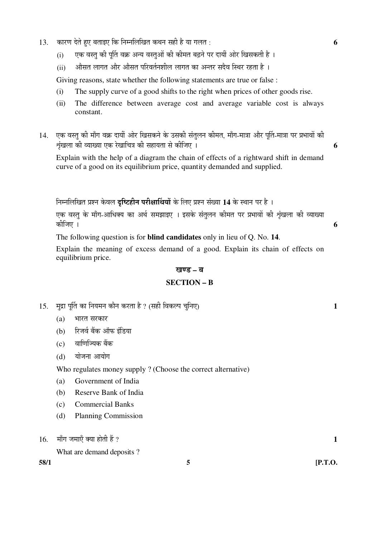- 13. ÛúÖ¸üÞÖ ¤êüŸÖê Æãü‹ ²ÖŸÖÖ‡‹ ×Ûú ×®Ö´®Ö×»Ö×ÜÖŸÖ Ûú£Ö®Ö ÃÖÆüß Æîü µÖÖ ÝÖ»ÖŸÖ : **6**
	- (i) एक वस्त की पर्ति वक्र अन्य वस्तओं की कीमत बढने पर दायीं ओर खिसकती है ।
	- $(ii)$  औसत लागत और औसत परिवर्तनशील लागत का अन्तर सदैव स्थिर रहता है ।

Giving reasons, state whether the following statements are true or false :

- (i) The supply curve of a good shifts to the right when prices of other goods rise.
- (ii) The difference between average cost and average variable cost is always constant.
- 14. एक वस्तु की माँग वक्र दायीं ओर खिसकने के उसकी संतुलन कीमत, माँग-मात्रा और पूर्ति-मात्रा पर प्रभावों की  $\frac{1}{2}$ ष्ठी व्याख्या एक रेखाचित्र की सहायता से कीजिए ।

 Explain with the help of a diagram the chain of effects of a rightward shift in demand curve of a good on its equilibrium price, quantity demanded and supplied.

निम्नलिखित प्रश्न केवल **दृष्टिहीन परीक्षार्थियों** के लिए प्रश्न संख्या 14 के स्थान पर है ।

.<br>एक वस्तु के माँग-आधिक्य का अर्थ समझाइए । इसके संतुलन कीमत पर प्रभावों की शृंखला की व्याख्या Ûúßו֋ … **6** 

The following question is for **blind candidates** only in lieu of Q. No. **14**.

 Explain the meaning of excess demand of a good. Explain its chain of effects on equilibrium price.

#### खण्ड – ब

#### **SECTION – B**

- 15. ´Öã¦üÖ ¯ÖæÙŸÖ ÛúÖ ×®ÖµÖ´Ö®Ö ÛúÖî®Ö Ûú¸üŸÖÖ Æîü ? (ÃÖÆüß ×¾ÖÛú»¯Ö "Öã×®Ö‹) **1**
	- $(a)$  भारत सरकार
	- (b) रिजर्व बैंक ऑफ इंडिया
	- $(c)$  anणिज्यिक बैंक
	- $(d)$  योजना आयोग

Who regulates money supply ? (Choose the correct alternative)

- (a) Government of India
- (b) Reserve Bank of India
- (c) Commercial Banks
- (d) Planning Commission

What are demand deposits ?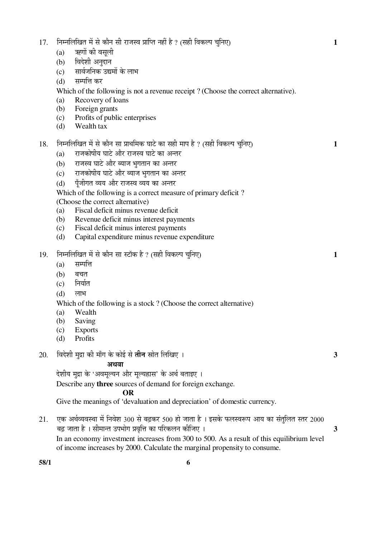| 17. | निम्नलिखित में से कौन सी राजस्व प्राप्ति नहीं है ? (सही विकल्प चुनिए)                     |                                                                                               |  |  |  |  |
|-----|-------------------------------------------------------------------------------------------|-----------------------------------------------------------------------------------------------|--|--|--|--|
|     | (a)                                                                                       | ऋणों की वसूली                                                                                 |  |  |  |  |
|     | (b)                                                                                       | विदेशी अनुदान                                                                                 |  |  |  |  |
|     | (c)                                                                                       | सार्वजनिक उद्यमों के लाभ                                                                      |  |  |  |  |
|     | (d)                                                                                       | सम्पत्ति कर                                                                                   |  |  |  |  |
|     |                                                                                           | Which of the following is not a revenue receipt? (Choose the correct alternative).            |  |  |  |  |
|     | (a)                                                                                       | Recovery of loans                                                                             |  |  |  |  |
|     | (b)                                                                                       | Foreign grants                                                                                |  |  |  |  |
|     | (c)                                                                                       | Profits of public enterprises                                                                 |  |  |  |  |
|     | (d)                                                                                       | Wealth tax                                                                                    |  |  |  |  |
| 18. |                                                                                           | निम्नलिखित में से कौन सा प्राथमिक घाटे का सही माप है ? (सही विकल्प चुनिए)                     |  |  |  |  |
|     | (a)                                                                                       | राजकोषीय घाटे और राजस्व घाटे का अन्तर                                                         |  |  |  |  |
|     | (b)                                                                                       | राजस्व घाटे और ब्याज भुगतान का अन्तर                                                          |  |  |  |  |
|     | (c)                                                                                       | राजकोषीय घाटे और ब्याज भुगतान का अन्तर                                                        |  |  |  |  |
|     | (d)                                                                                       | पूँजीगत व्यय और राजस्व व्यय का अन्तर                                                          |  |  |  |  |
|     |                                                                                           | Which of the following is a correct measure of primary deficit?                               |  |  |  |  |
|     |                                                                                           | (Choose the correct alternative)                                                              |  |  |  |  |
|     | (a)                                                                                       | Fiscal deficit minus revenue deficit                                                          |  |  |  |  |
|     | (b)                                                                                       | Revenue deficit minus interest payments                                                       |  |  |  |  |
|     | (c)                                                                                       | Fiscal deficit minus interest payments                                                        |  |  |  |  |
|     | (d)                                                                                       | Capital expenditure minus revenue expenditure                                                 |  |  |  |  |
| 19. |                                                                                           | निम्नलिखित में से कौन सा स्टॉक है ? (सही विकल्प चुनिए)                                        |  |  |  |  |
|     | (a)                                                                                       | सम्पत्ति                                                                                      |  |  |  |  |
|     | (b)                                                                                       | बचत                                                                                           |  |  |  |  |
|     | (c)                                                                                       | निर्यात                                                                                       |  |  |  |  |
|     | (d)                                                                                       | लाभ                                                                                           |  |  |  |  |
|     |                                                                                           | Which of the following is a stock? (Choose the correct alternative)                           |  |  |  |  |
|     | (a)                                                                                       | Wealth                                                                                        |  |  |  |  |
|     | (b)                                                                                       | Saving                                                                                        |  |  |  |  |
|     | (c)                                                                                       | <b>Exports</b>                                                                                |  |  |  |  |
|     | (d)                                                                                       | Profits                                                                                       |  |  |  |  |
| 20. |                                                                                           | विदेशी मुद्रा की माँग के कोई से <b>तीन</b> स्रोत लिखिए ।<br>3                                 |  |  |  |  |
|     |                                                                                           | अथवा                                                                                          |  |  |  |  |
|     |                                                                                           | देशीय मुद्रा के 'अवमूल्यन और मूल्यह्रास' के अर्थ बताइए ।                                      |  |  |  |  |
|     |                                                                                           | Describe any <b>three</b> sources of demand for foreign exchange.                             |  |  |  |  |
|     |                                                                                           | <b>OR</b>                                                                                     |  |  |  |  |
|     |                                                                                           | Give the meanings of 'devaluation and depreciation' of domestic currency.                     |  |  |  |  |
| 21. |                                                                                           | एक अर्थव्यवस्था में निवेश 300 से बढ़कर 500 हो जाता है । इसके फलस्वरूप आय का संतुलित स्तर 2000 |  |  |  |  |
|     | बढ़ जाता है । सीमान्त उपभोग प्रवृत्ति का परिकलन कीजिए ।<br>3                              |                                                                                               |  |  |  |  |
|     | In an economy investment increases from 300 to 500. As a result of this equilibrium level |                                                                                               |  |  |  |  |
|     | of income increases by 2000. Calculate the marginal propensity to consume.                |                                                                                               |  |  |  |  |
|     |                                                                                           |                                                                                               |  |  |  |  |

**58/1 6**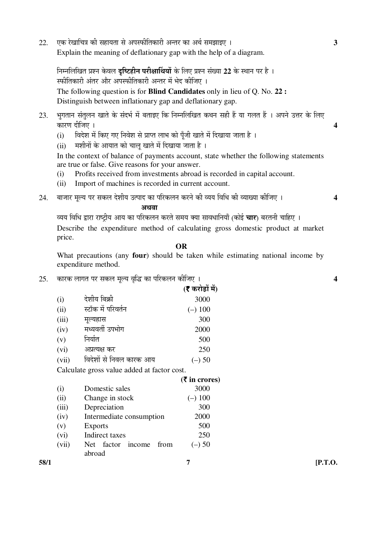22. ‹Ûú ¸êüÜÖÖ×"Ö¡Ö Ûúß ÃÖÆüÖµÖŸÖÖ ÃÖê †¯ÖñúßןÖÛúÖ¸üß †®ŸÖ¸ü ÛúÖ †£ÖÔ ÃÖ´Ö—ÖÖ‡‹ … **3**  Explain the meaning of deflationary gap with the help of a diagram.

निम्नलिखित प्रश्न केवल **दृष्टिहीन परीक्षार्थियों** के लिए प्रश्न संख्या 22 के स्थान पर है । स्फीतिकारी अंतर और अपस्फीतिकारी अन्तर में भेद कीजिए । The following question is for **Blind Candidates** only in lieu of Q. No. **22 :** Distinguish between inflationary gap and deflationary gap.

- 23. भगतान संतलन खाते के संदर्भ में बताइए कि निम्नलिखित कथन सही हैं या गलत हैं । अपने उत्तर के लिए ÛúÖ¸üÞÖ ¤üßו֋ … **4**
	- (i) विदेश में किए गए निवेश से प्राप्त लाभ को पूँजी खाते में दिखाया जाता है ।
	- (ii) मशीनों के आयात को चालू खाते में दिखाया जाता है ।

In the context of balance of payments account, state whether the following statements are true or false. Give reasons for your answer.

- (i) Profits received from investments abroad is recorded in capital account.
- (ii) Import of machines is recorded in current account.
- $24$ . बाजार मुल्य पर सकल देशीय उत्पाद का परिकलन करने की व्यय विधि की व्याख्या कीजिए । 4

# $\mathbb{Z}^{\mathbb{Z}}$ ि $\mathbb{Z}^{\mathbb{Z}}$ ि $\mathbb{Z}^{\mathbb{Z}}$ ि $\mathbb{Z}^{\mathbb{Z}}$ ि $\mathbb{Z}^{\mathbb{Z}}$ ि $\mathbb{Z}^{\mathbb{Z}}$ ि $\mathbb{Z}^{\mathbb{Z}}$

व्यय विधि द्वारा राष्ट्रीय आय का परिकलन करते समय क्या सावधानियाँ (कोई **चार**) बरतनी चाहिए । Describe the expenditure method of calculating gross domestic product at market price.

#### **OR**

 What precautions (any **four**) should be taken while estimating national income by expenditure method.

25. ÛúÖ¸üÛú »ÖÖÝÖŸÖ ¯Ö¸ü ÃÖÛú»Ö ´Öæ»µÖ ¾Öéרü ÛúÖ ¯Ö׸üÛú»Ö®Ö Ûúßו֋ … **4** 

|       |                         | (र करोड़ों में) |
|-------|-------------------------|-----------------|
| (i)   | देशीय बिक्री            | 3000            |
| (ii)  | स्टॉक में परिवर्तन      | $(-)$ 100       |
| (iii) | मूल्यह्रास              | 300             |
| (iv)  | मध्यवर्ती उपभोग         | 2000            |
| (v)   | निर्यात                 | 500             |
| (vi)  | अप्रत्यक्ष कर           | 250             |
| (vii) | विदेशों से निवल कारक आय | (–) 50          |

Calculate gross value added at factor cost.

|      |          |                                        | $(5 \text{ in crores})$ |            |
|------|----------|----------------------------------------|-------------------------|------------|
|      | $\rm(i)$ | Domestic sales                         | 3000                    |            |
|      | (ii)     | Change in stock                        | $(-)$ 100               |            |
|      | (iii)    | Depreciation                           | 300                     |            |
|      | (iv)     | Intermediate consumption               | 2000                    |            |
|      | (v)      | <b>Exports</b>                         | 500                     |            |
|      | (vi)     | Indirect taxes                         | 250                     |            |
|      | (vii)    | factor<br><b>Net</b><br>from<br>income | $(-)$ 50                |            |
|      |          | abroad                                 |                         |            |
| 58/1 |          |                                        |                         | $[$ P.T.O. |